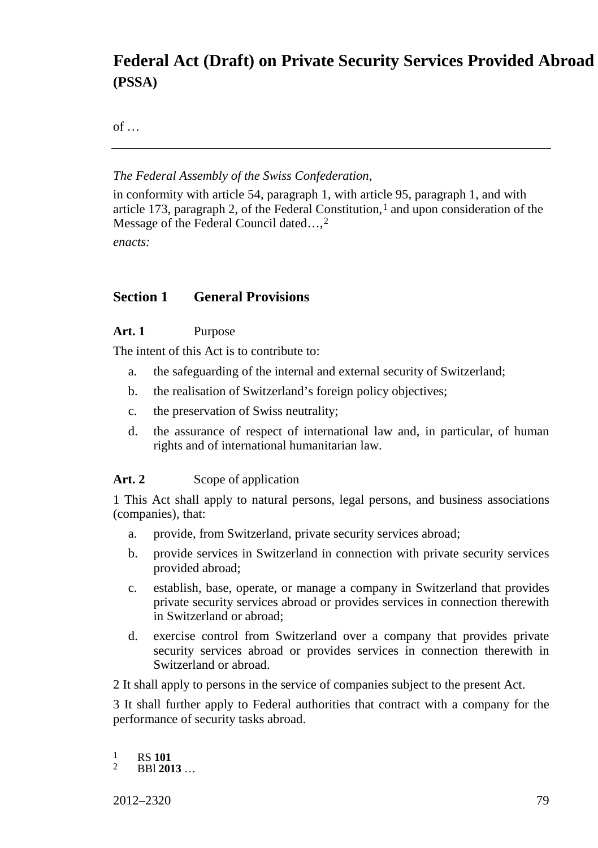# **Federal Act (Draft) on Private Security Services Provided Abroad (PSSA)**

of …

#### *The Federal Assembly of the Swiss Confederation,*

in conformity with article 54, paragraph 1, with article 95, paragraph 1, and with article [1](#page-0-0)73, paragraph 2, of the Federal Constitution, $1$  and upon consideration of the Message of the Federal Council dated...,<sup>[2](#page-0-1)</sup>

*enacts:*

# **Section 1 General Provisions**

### **Art. 1** Purpose

The intent of this Act is to contribute to:

- a. the safeguarding of the internal and external security of Switzerland;
- b. the realisation of Switzerland's foreign policy objectives;
- c. the preservation of Swiss neutrality;
- d. the assurance of respect of international law and, in particular, of human rights and of international humanitarian law.

# Art. 2 Scope of application

1 This Act shall apply to natural persons, legal persons, and business associations (companies), that:

- a. provide, from Switzerland, private security services abroad;
- b. provide services in Switzerland in connection with private security services provided abroad;
- c. establish, base, operate, or manage a company in Switzerland that provides private security services abroad or provides services in connection therewith in Switzerland or abroad;
- d. exercise control from Switzerland over a company that provides private security services abroad or provides services in connection therewith in Switzerland or abroad.

2 It shall apply to persons in the service of companies subject to the present Act.

3 It shall further apply to Federal authorities that contract with a company for the performance of security tasks abroad.

<span id="page-0-1"></span><span id="page-0-0"></span> $\frac{1}{2}$  RS **101**<br>**BBI 2013** 

2012–2320 79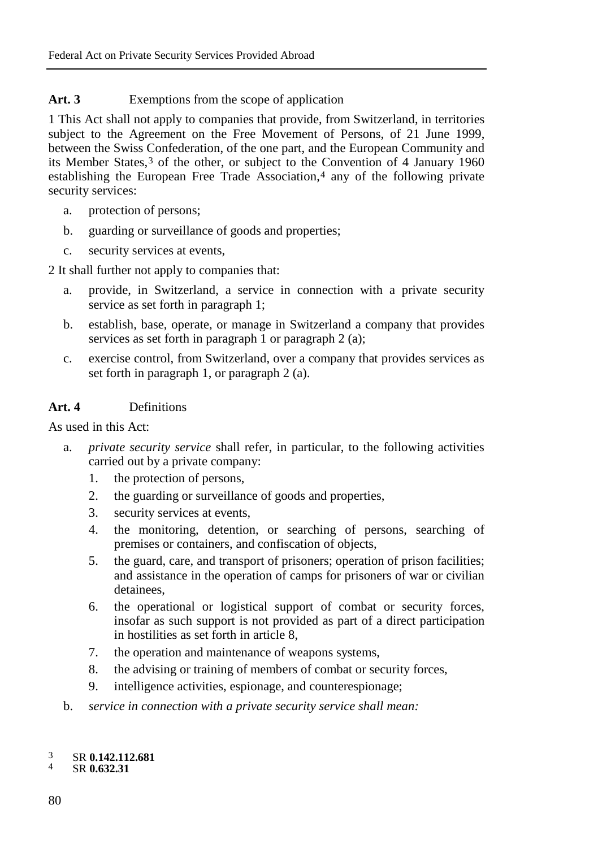# Art. 3 Exemptions from the scope of application

1 This Act shall not apply to companies that provide, from Switzerland, in territories subject to the Agreement on the Free Movement of Persons, of 21 June 1999, between the Swiss Confederation, of the one part, and the European Community and its Member States,[3](#page-1-0) of the other, or subject to the Convention of 4 January 1960 establishing the European Free Trade Association,<sup>[4](#page-1-1)</sup> any of the following private security services:

- a. protection of persons;
- b. guarding or surveillance of goods and properties;
- c. security services at events,

2 It shall further not apply to companies that:

- a. provide, in Switzerland, a service in connection with a private security service as set forth in paragraph 1;
- b. establish, base, operate, or manage in Switzerland a company that provides services as set forth in paragraph  $\overline{1}$  or paragraph  $\overline{2}$  (a);
- c. exercise control, from Switzerland, over a company that provides services as set forth in paragraph 1, or paragraph 2 (a).

# **Art. 4** Definitions

As used in this Act:

- a. *private security service* shall refer, in particular, to the following activities carried out by a private company:
	- 1. the protection of persons,
	- 2. the guarding or surveillance of goods and properties,
	- 3. security services at events,
	- 4. the monitoring, detention, or searching of persons, searching of premises or containers, and confiscation of objects,
	- 5. the guard, care, and transport of prisoners; operation of prison facilities; and assistance in the operation of camps for prisoners of war or civilian detainees,
	- 6. the operational or logistical support of combat or security forces, insofar as such support is not provided as part of a direct participation in hostilities as set forth in article 8,
	- 7. the operation and maintenance of weapons systems,
	- 8. the advising or training of members of combat or security forces,
	- 9. intelligence activities, espionage, and counterespionage;
- b. *service in connection with a private security service shall mean:*

# <span id="page-1-1"></span><span id="page-1-0"></span><sup>3</sup> SR **0.142.112.681** <sup>4</sup> SR **0.632.31**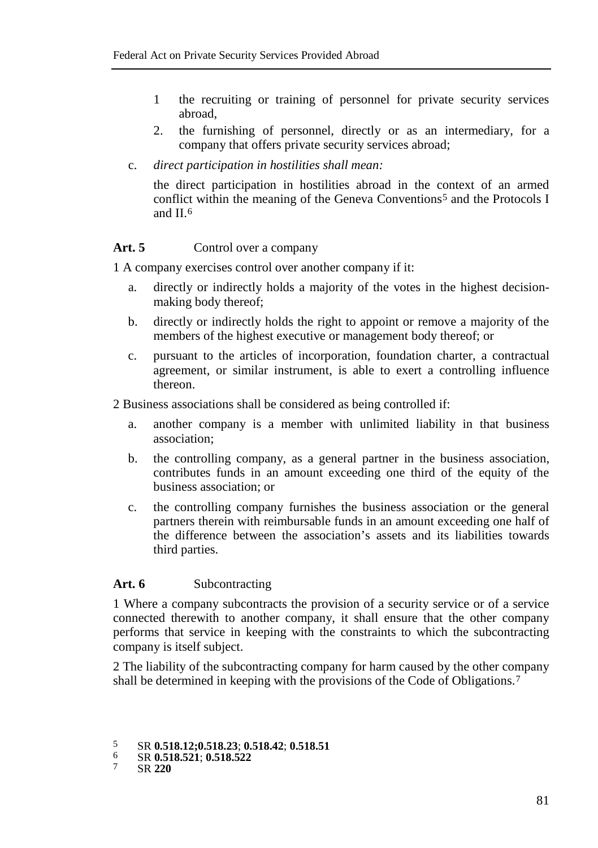- 1 the recruiting or training of personnel for private security services abroad,
- 2. the furnishing of personnel, directly or as an intermediary, for a company that offers private security services abroad;
- c. *direct participation in hostilities shall mean:*

the direct participation in hostilities abroad in the context of an armed conflict within the meaning of the Geneva Conventions<sup>[5](#page-2-0)</sup> and the Protocols I and II.[6](#page-2-1)

### Art. 5 Control over a company

1 A company exercises control over another company if it:

- a. directly or indirectly holds a majority of the votes in the highest decisionmaking body thereof;
- b. directly or indirectly holds the right to appoint or remove a majority of the members of the highest executive or management body thereof; or
- c. pursuant to the articles of incorporation, foundation charter, a contractual agreement, or similar instrument, is able to exert a controlling influence thereon.

2 Business associations shall be considered as being controlled if:

- a. another company is a member with unlimited liability in that business association;
- b. the controlling company, as a general partner in the business association, contributes funds in an amount exceeding one third of the equity of the business association; or
- c. the controlling company furnishes the business association or the general partners therein with reimbursable funds in an amount exceeding one half of the difference between the association's assets and its liabilities towards third parties.

### Art. 6 Subcontracting

1 Where a company subcontracts the provision of a security service or of a service connected therewith to another company, it shall ensure that the other company performs that service in keeping with the constraints to which the subcontracting company is itself subject.

2 The liability of the subcontracting company for harm caused by the other company shall be determined in keeping with the provisions of the Code of Obligations.[7](#page-2-2)

<span id="page-2-1"></span><span id="page-2-0"></span><sup>5</sup> SR **0.518.12;0.518.23**; **0.518.42**; **0.518.51** <sup>6</sup> SR **0.518.521**; **0.518.522** <sup>7</sup> SR **<sup>220</sup>**

<span id="page-2-2"></span>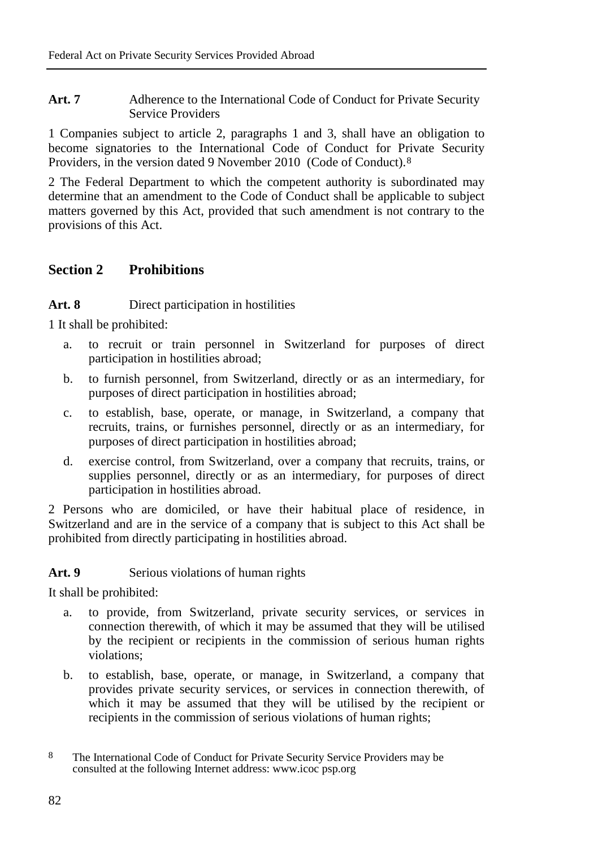Art. 7 Adherence to the International Code of Conduct for Private Security Service Providers

1 Companies subject to article 2, paragraphs 1 and 3, shall have an obligation to become signatories to the International Code of Conduct for Private Security Providers, in the version dated 9 November 2010 (Code of Conduct).[8](#page-3-0)

2 The Federal Department to which the competent authority is subordinated may determine that an amendment to the Code of Conduct shall be applicable to subject matters governed by this Act, provided that such amendment is not contrary to the provisions of this Act.

# **Section 2 Prohibitions**

### **Art. 8** Direct participation in hostilities

1 It shall be prohibited:

- a. to recruit or train personnel in Switzerland for purposes of direct participation in hostilities abroad;
- b. to furnish personnel, from Switzerland, directly or as an intermediary, for purposes of direct participation in hostilities abroad;
- c. to establish, base, operate, or manage, in Switzerland, a company that recruits, trains, or furnishes personnel, directly or as an intermediary, for purposes of direct participation in hostilities abroad;
- d. exercise control, from Switzerland, over a company that recruits, trains, or supplies personnel, directly or as an intermediary, for purposes of direct participation in hostilities abroad.

2 Persons who are domiciled, or have their habitual place of residence, in Switzerland and are in the service of a company that is subject to this Act shall be prohibited from directly participating in hostilities abroad.

# Art. 9 Serious violations of human rights

It shall be prohibited:

- a. to provide, from Switzerland, private security services, or services in connection therewith, of which it may be assumed that they will be utilised by the recipient or recipients in the commission of serious human rights violations;
- b. to establish, base, operate, or manage, in Switzerland, a company that provides private security services, or services in connection therewith, of which it may be assumed that they will be utilised by the recipient or recipients in the commission of serious violations of human rights;

<span id="page-3-0"></span><sup>8</sup> The International Code of Conduct for Private Security Service Providers may be consulted at the following Internet address: www.icoc psp.org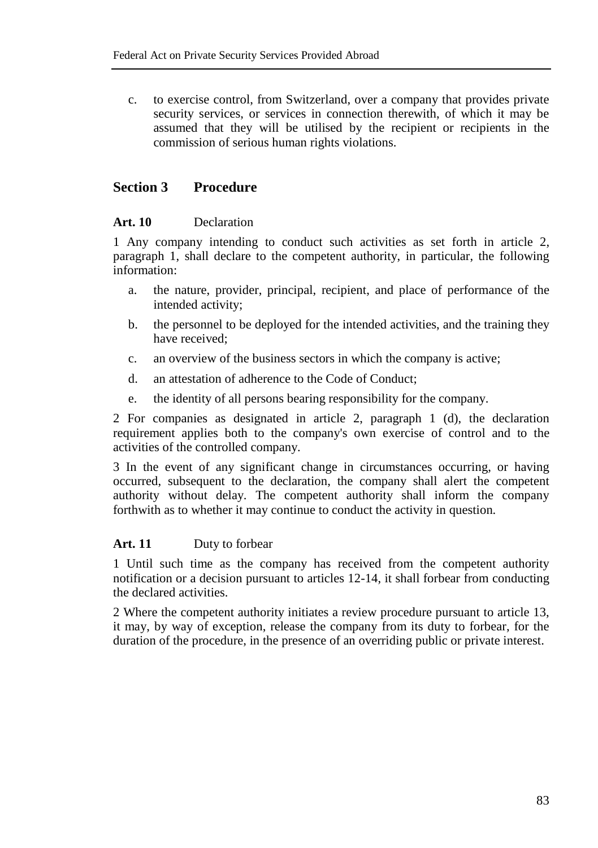c. to exercise control, from Switzerland, over a company that provides private security services, or services in connection therewith, of which it may be assumed that they will be utilised by the recipient or recipients in the commission of serious human rights violations.

# **Section 3 Procedure**

#### **Art. 10** Declaration

1 Any company intending to conduct such activities as set forth in article 2, paragraph 1, shall declare to the competent authority, in particular, the following information:

- a. the nature, provider, principal, recipient, and place of performance of the intended activity;
- b. the personnel to be deployed for the intended activities, and the training they have received;
- c. an overview of the business sectors in which the company is active;
- d. an attestation of adherence to the Code of Conduct;
- e. the identity of all persons bearing responsibility for the company.

2 For companies as designated in article 2, paragraph 1 (d), the declaration requirement applies both to the company's own exercise of control and to the activities of the controlled company.

3 In the event of any significant change in circumstances occurring, or having occurred, subsequent to the declaration, the company shall alert the competent authority without delay. The competent authority shall inform the company forthwith as to whether it may continue to conduct the activity in question.

# **Art. 11** Duty to forbear

1 Until such time as the company has received from the competent authority notification or a decision pursuant to articles 12-14, it shall forbear from conducting the declared activities.

2 Where the competent authority initiates a review procedure pursuant to article 13, it may, by way of exception, release the company from its duty to forbear, for the duration of the procedure, in the presence of an overriding public or private interest.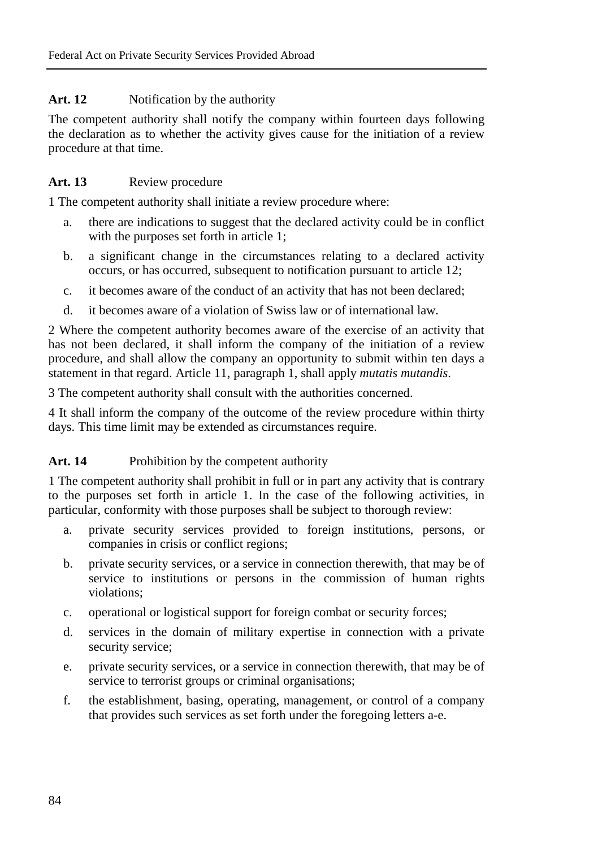# Art. 12 Notification by the authority

The competent authority shall notify the company within fourteen days following the declaration as to whether the activity gives cause for the initiation of a review procedure at that time.

# Art. 13 Review procedure

1 The competent authority shall initiate a review procedure where:

- a. there are indications to suggest that the declared activity could be in conflict with the purposes set forth in article 1;
- b. a significant change in the circumstances relating to a declared activity occurs, or has occurred, subsequent to notification pursuant to article 12;
- c. it becomes aware of the conduct of an activity that has not been declared;
- d. it becomes aware of a violation of Swiss law or of international law.

2 Where the competent authority becomes aware of the exercise of an activity that has not been declared, it shall inform the company of the initiation of a review procedure, and shall allow the company an opportunity to submit within ten days a statement in that regard. Article 11, paragraph 1, shall apply *mutatis mutandis*.

3 The competent authority shall consult with the authorities concerned.

4 It shall inform the company of the outcome of the review procedure within thirty days. This time limit may be extended as circumstances require.

# Art. 14 Prohibition by the competent authority

1 The competent authority shall prohibit in full or in part any activity that is contrary to the purposes set forth in article 1. In the case of the following activities, in particular, conformity with those purposes shall be subject to thorough review:

- a. private security services provided to foreign institutions, persons, or companies in crisis or conflict regions;
- b. private security services, or a service in connection therewith, that may be of service to institutions or persons in the commission of human rights violations;
- c. operational or logistical support for foreign combat or security forces;
- d. services in the domain of military expertise in connection with a private security service;
- e. private security services, or a service in connection therewith, that may be of service to terrorist groups or criminal organisations;
- f. the establishment, basing, operating, management, or control of a company that provides such services as set forth under the foregoing letters a-e.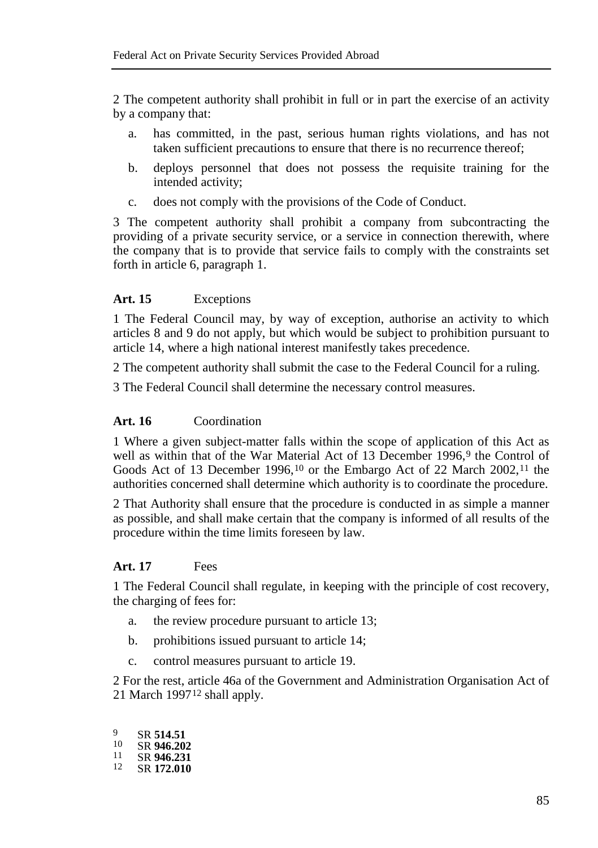2 The competent authority shall prohibit in full or in part the exercise of an activity by a company that:

- a. has committed, in the past, serious human rights violations, and has not taken sufficient precautions to ensure that there is no recurrence thereof;
- b. deploys personnel that does not possess the requisite training for the intended activity;
- c. does not comply with the provisions of the Code of Conduct.

3 The competent authority shall prohibit a company from subcontracting the providing of a private security service, or a service in connection therewith, where the company that is to provide that service fails to comply with the constraints set forth in article 6, paragraph 1.

### **Art. 15** Exceptions

1 The Federal Council may, by way of exception, authorise an activity to which articles 8 and 9 do not apply, but which would be subject to prohibition pursuant to article 14, where a high national interest manifestly takes precedence.

2 The competent authority shall submit the case to the Federal Council for a ruling.

3 The Federal Council shall determine the necessary control measures.

### **Art. 16** Coordination

1 Where a given subject-matter falls within the scope of application of this Act as well as within that of the War Material Act of 13 December 1[9](#page-6-0)96,9 the Control of Goods Act of 13 December 1996,<sup>[10](#page-6-1)</sup> or the Embargo Act of 22 March 2002,<sup>[11](#page-6-2)</sup> the authorities concerned shall determine which authority is to coordinate the procedure.

2 That Authority shall ensure that the procedure is conducted in as simple a manner as possible, and shall make certain that the company is informed of all results of the procedure within the time limits foreseen by law.

#### **Art. 17** Fees

1 The Federal Council shall regulate, in keeping with the principle of cost recovery, the charging of fees for:

- a. the review procedure pursuant to article 13;
- b. prohibitions issued pursuant to article 14;
- c. control measures pursuant to article 19.

2 For the rest, article 46a of the Government and Administration Organisation Act of 21 March 1997[12](#page-6-3) shall apply.

<span id="page-6-3"></span><span id="page-6-2"></span><span id="page-6-1"></span><span id="page-6-0"></span><sup>9</sup> SR **514.51**<br><sup>10</sup> SR **946.202** <sup>10</sup> SR **946.202** <sup>11</sup> SR **946.231** <sup>12</sup> SR **172.010**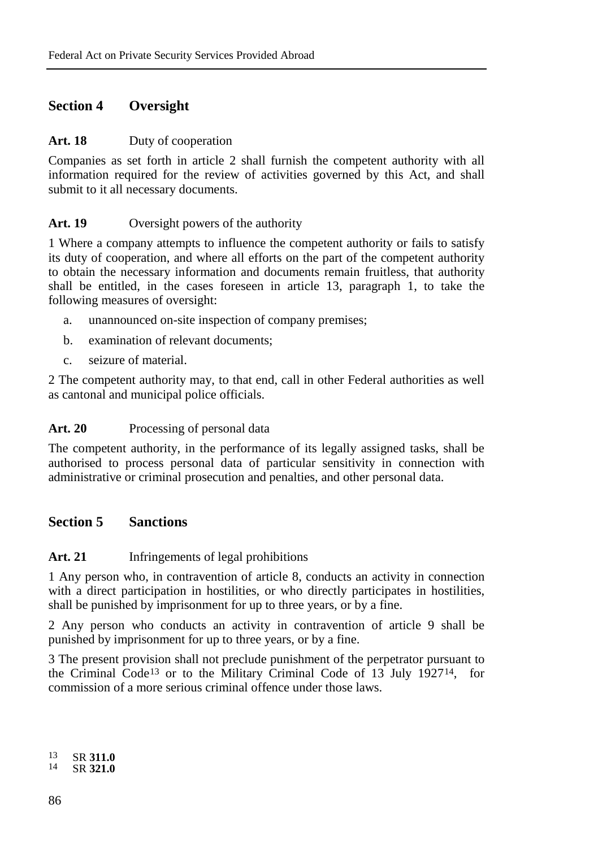# **Section 4 Oversight**

#### Art. 18 Duty of cooperation

Companies as set forth in article 2 shall furnish the competent authority with all information required for the review of activities governed by this Act, and shall submit to it all necessary documents.

### Art. 19 Oversight powers of the authority

1 Where a company attempts to influence the competent authority or fails to satisfy its duty of cooperation, and where all efforts on the part of the competent authority to obtain the necessary information and documents remain fruitless, that authority shall be entitled, in the cases foreseen in article 13, paragraph 1, to take the following measures of oversight:

- a. unannounced on-site inspection of company premises;
- b. examination of relevant documents;
- c. seizure of material.

2 The competent authority may, to that end, call in other Federal authorities as well as cantonal and municipal police officials.

#### Art. 20 Processing of personal data

The competent authority, in the performance of its legally assigned tasks, shall be authorised to process personal data of particular sensitivity in connection with administrative or criminal prosecution and penalties, and other personal data.

# **Section 5 Sanctions**

# **Art. 21** Infringements of legal prohibitions

1 Any person who, in contravention of article 8, conducts an activity in connection with a direct participation in hostilities, or who directly participates in hostilities, shall be punished by imprisonment for up to three years, or by a fine.

2 Any person who conducts an activity in contravention of article 9 shall be punished by imprisonment for up to three years, or by a fine.

3 The present provision shall not preclude punishment of the perpetrator pursuant to the Criminal Code[13](#page-7-0) or to the Military Criminal Code of 13 July 1927[14,](#page-7-1) for commission of a more serious criminal offence under those laws.

<span id="page-7-1"></span><span id="page-7-0"></span><sup>13</sup> SR **311.0** <sup>14</sup> SR **321.0**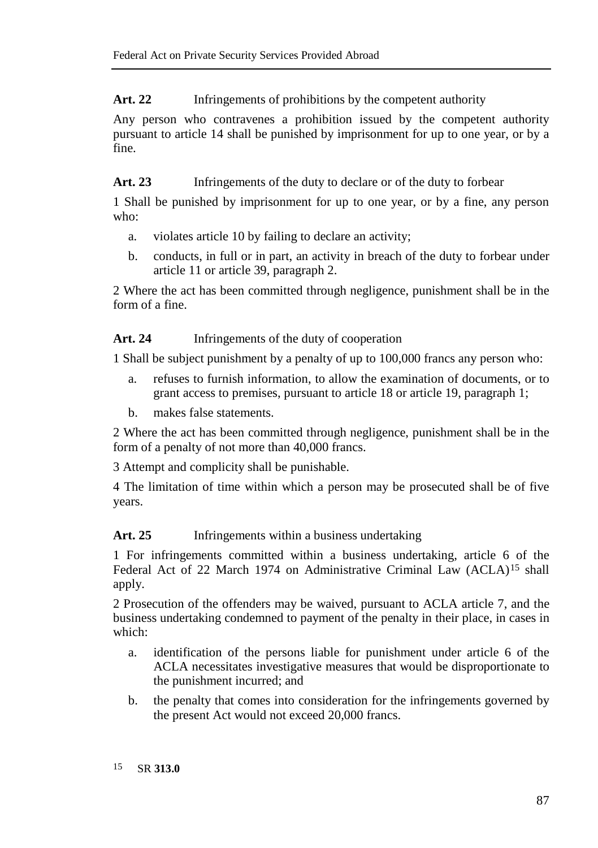Art. 22 Infringements of prohibitions by the competent authority

Any person who contravenes a prohibition issued by the competent authority pursuant to article 14 shall be punished by imprisonment for up to one year, or by a fine.

Art. 23 Infringements of the duty to declare or of the duty to forbear

1 Shall be punished by imprisonment for up to one year, or by a fine, any person who:

- a. violates article 10 by failing to declare an activity;
- b. conducts, in full or in part, an activity in breach of the duty to forbear under article 11 or article 39, paragraph 2.

2 Where the act has been committed through negligence, punishment shall be in the form of a fine.

Art. 24 Infringements of the duty of cooperation

1 Shall be subject punishment by a penalty of up to 100,000 francs any person who:

- a. refuses to furnish information, to allow the examination of documents, or to grant access to premises, pursuant to article 18 or article 19, paragraph 1;
- b. makes false statements.

2 Where the act has been committed through negligence, punishment shall be in the form of a penalty of not more than 40,000 francs.

3 Attempt and complicity shall be punishable.

4 The limitation of time within which a person may be prosecuted shall be of five years.

# Art. 25 Infringements within a business undertaking

1 For infringements committed within a business undertaking, article 6 of the Federal Act of 22 March 1974 on Administrative Criminal Law (ACLA)<sup>[15](#page-8-0)</sup> shall apply.

2 Prosecution of the offenders may be waived, pursuant to ACLA article 7, and the business undertaking condemned to payment of the penalty in their place, in cases in which:

- a. identification of the persons liable for punishment under article 6 of the ACLA necessitates investigative measures that would be disproportionate to the punishment incurred; and
- <span id="page-8-0"></span>b. the penalty that comes into consideration for the infringements governed by the present Act would not exceed 20,000 francs.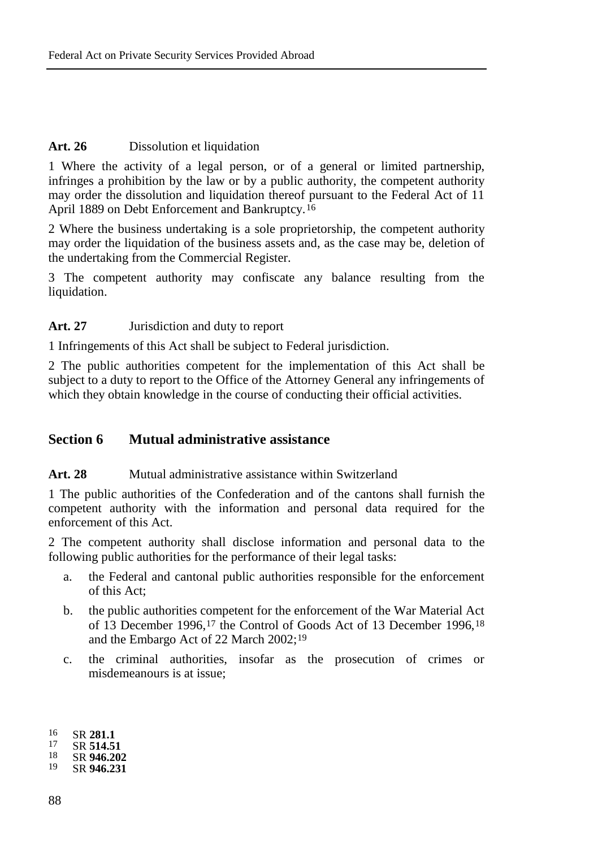# Art. 26 Dissolution et liquidation

1 Where the activity of a legal person, or of a general or limited partnership, infringes a prohibition by the law or by a public authority, the competent authority may order the dissolution and liquidation thereof pursuant to the Federal Act of 11 April 1889 on Debt Enforcement and Bankruptcy.[16](#page-9-0)

2 Where the business undertaking is a sole proprietorship, the competent authority may order the liquidation of the business assets and, as the case may be, deletion of the undertaking from the Commercial Register.

3 The competent authority may confiscate any balance resulting from the liquidation.

#### Art. 27 **Jurisdiction and duty to report**

1 Infringements of this Act shall be subject to Federal jurisdiction.

2 The public authorities competent for the implementation of this Act shall be subject to a duty to report to the Office of the Attorney General any infringements of which they obtain knowledge in the course of conducting their official activities.

# **Section 6 Mutual administrative assistance**

#### **Art. 28** Mutual administrative assistance within Switzerland

1 The public authorities of the Confederation and of the cantons shall furnish the competent authority with the information and personal data required for the enforcement of this Act.

2 The competent authority shall disclose information and personal data to the following public authorities for the performance of their legal tasks:

- a. the Federal and cantonal public authorities responsible for the enforcement of this Act;
- b. the public authorities competent for the enforcement of the War Material Act of 13 December 1996,[17](#page-9-1) the Control of Goods Act of 13 December 1996,[18](#page-9-2) and the Embargo Act of 22 March 2002;[19](#page-9-3)
- c. the criminal authorities, insofar as the prosecution of crimes or misdemeanours is at issue;

<span id="page-9-3"></span><span id="page-9-2"></span><span id="page-9-1"></span>

<span id="page-9-0"></span><sup>16</sup> SR **281.1**<br>
17 SR **514.51**<br>
18 SR **946.202**<br>
19 SD **946.221** 19 SR **946.231**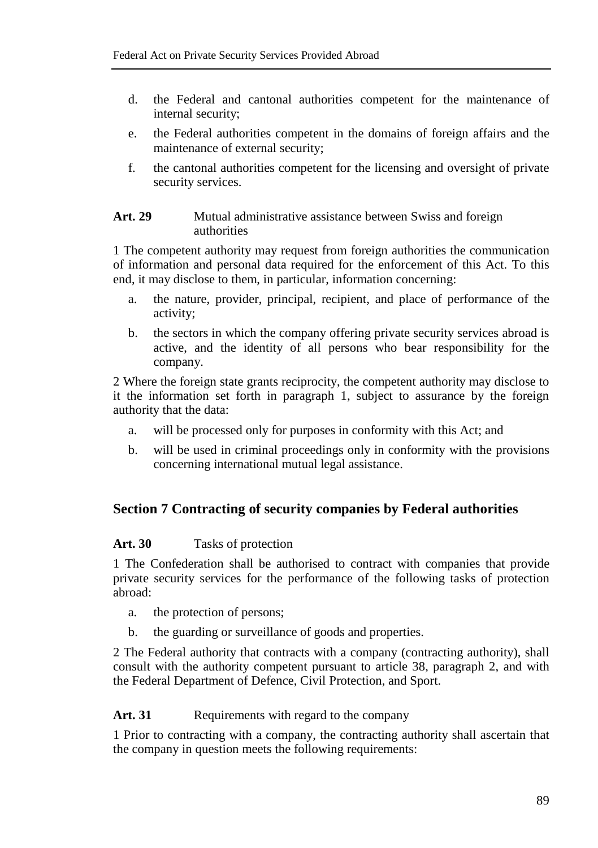- d. the Federal and cantonal authorities competent for the maintenance of internal security;
- e. the Federal authorities competent in the domains of foreign affairs and the maintenance of external security;
- f. the cantonal authorities competent for the licensing and oversight of private security services.

#### **Art. 29** Mutual administrative assistance between Swiss and foreign authorities

1 The competent authority may request from foreign authorities the communication of information and personal data required for the enforcement of this Act. To this end, it may disclose to them, in particular, information concerning:

- a. the nature, provider, principal, recipient, and place of performance of the activity;
- b. the sectors in which the company offering private security services abroad is active, and the identity of all persons who bear responsibility for the company.

2 Where the foreign state grants reciprocity, the competent authority may disclose to it the information set forth in paragraph 1, subject to assurance by the foreign authority that the data:

- a. will be processed only for purposes in conformity with this Act; and
- b. will be used in criminal proceedings only in conformity with the provisions concerning international mutual legal assistance.

# **Section 7 Contracting of security companies by Federal authorities**

#### **Art. 30** Tasks of protection

1 The Confederation shall be authorised to contract with companies that provide private security services for the performance of the following tasks of protection abroad:

- a. the protection of persons;
- b. the guarding or surveillance of goods and properties.

2 The Federal authority that contracts with a company (contracting authority), shall consult with the authority competent pursuant to article 38, paragraph 2, and with the Federal Department of Defence, Civil Protection, and Sport.

#### Art. 31 Requirements with regard to the company

1 Prior to contracting with a company, the contracting authority shall ascertain that the company in question meets the following requirements: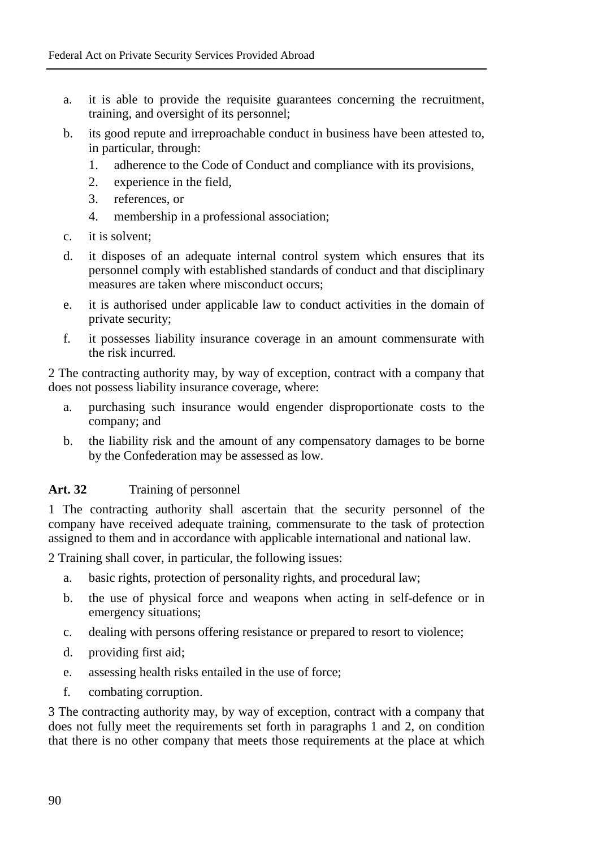- a. it is able to provide the requisite guarantees concerning the recruitment, training, and oversight of its personnel;
- b. its good repute and irreproachable conduct in business have been attested to, in particular, through:
	- 1. adherence to the Code of Conduct and compliance with its provisions,
	- 2. experience in the field,
	- 3. references, or
	- 4. membership in a professional association;
- c. it is solvent;
- d. it disposes of an adequate internal control system which ensures that its personnel comply with established standards of conduct and that disciplinary measures are taken where misconduct occurs:
- e. it is authorised under applicable law to conduct activities in the domain of private security;
- f. it possesses liability insurance coverage in an amount commensurate with the risk incurred.

2 The contracting authority may, by way of exception, contract with a company that does not possess liability insurance coverage, where:

- a. purchasing such insurance would engender disproportionate costs to the company; and
- b. the liability risk and the amount of any compensatory damages to be borne by the Confederation may be assessed as low.

# Art. 32 Training of personnel

1 The contracting authority shall ascertain that the security personnel of the company have received adequate training, commensurate to the task of protection assigned to them and in accordance with applicable international and national law.

2 Training shall cover, in particular, the following issues:

- a. basic rights, protection of personality rights, and procedural law;
- b. the use of physical force and weapons when acting in self-defence or in emergency situations;
- c. dealing with persons offering resistance or prepared to resort to violence;
- d. providing first aid;
- e. assessing health risks entailed in the use of force;
- f. combating corruption.

3 The contracting authority may, by way of exception, contract with a company that does not fully meet the requirements set forth in paragraphs 1 and 2, on condition that there is no other company that meets those requirements at the place at which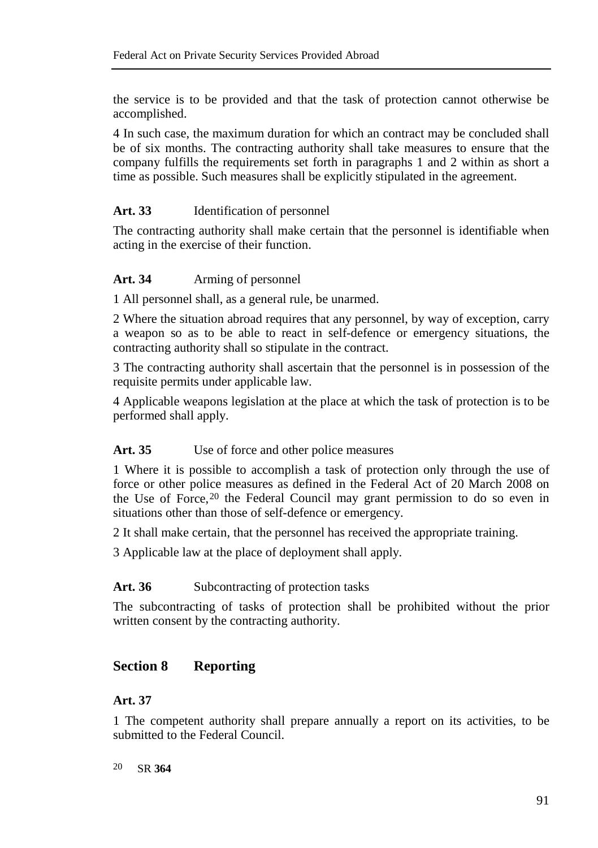the service is to be provided and that the task of protection cannot otherwise be accomplished.

4 In such case, the maximum duration for which an contract may be concluded shall be of six months. The contracting authority shall take measures to ensure that the company fulfills the requirements set forth in paragraphs 1 and 2 within as short a time as possible. Such measures shall be explicitly stipulated in the agreement.

### **Art. 33** Identification of personnel

The contracting authority shall make certain that the personnel is identifiable when acting in the exercise of their function.

### **Art. 34** Arming of personnel

1 All personnel shall, as a general rule, be unarmed.

2 Where the situation abroad requires that any personnel, by way of exception, carry a weapon so as to be able to react in self-defence or emergency situations, the contracting authority shall so stipulate in the contract.

3 The contracting authority shall ascertain that the personnel is in possession of the requisite permits under applicable law.

4 Applicable weapons legislation at the place at which the task of protection is to be performed shall apply.

#### Art. 35 Use of force and other police measures

1 Where it is possible to accomplish a task of protection only through the use of force or other police measures as defined in the Federal Act of 20 March 2008 on the Use of Force,[20](#page-12-0) the Federal Council may grant permission to do so even in situations other than those of self-defence or emergency.

2 It shall make certain, that the personnel has received the appropriate training.

3 Applicable law at the place of deployment shall apply.

#### Art. 36 Subcontracting of protection tasks

The subcontracting of tasks of protection shall be prohibited without the prior written consent by the contracting authority.

# **Section 8 Reporting**

# **Art. 37**

1 The competent authority shall prepare annually a report on its activities, to be submitted to the Federal Council.

<span id="page-12-0"></span>20 SR **364**